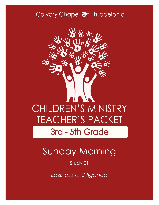### Calvary Chapel @f Philadelphia



# Sunday Morning

Study 21

*Laziness vs Diligence*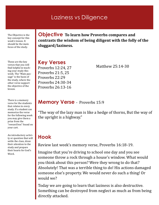### Laziness vs Diligence

The Objective is the key concept for this week's lesson. It should be the main focus of the study.

These are the key verses that you will find helpful in teaching your study this week. The "Main passage" is the basis of the study, where the other verse support the objective of the lesson.

There is a memory verse for the students that relates to every study. If a student can memorize the verse for the following week you may give them a prize from the "reward box" found on your cart.

An introductory activity or question that will settle the class, draw their attention to the study and prepare their hearts for God's Word.

**Objective To learn how Proverbs compares and contrasts the wisdom of being diligent with the folly of the sluggard/laziness.** 

**Key Verses** Proverbs 12:24, 27 Proverbs 21:5, 25 Proverbs 22:29 Proverbs 24:30-34 Proverbs 26:13-16

Matthew 25:14-30

### **Memory Verse** - Proverbs 15:9

"The way of the lazy man is like a hedge of thorns, But the way of the upright is a highway."

### **Hook**

Review last week's memory verse, Proverbs 16:18-19.

Imagine that you're driving to school one day and you see someone throw a rock through a house's window. What would you think about this person? Were they wrong to do that? Absolutely! That was a terrible thing to do! His actions damaged someone else's property. We would never do such a thing! Or would we?

Today we are going to learn that laziness is also destructive. Something can be destroyed from neglect as much as from being directly attacked.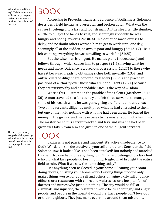What does the Bible say? This is where we will read a passage or series of passages that teach on the subject of the day.

The interpretation/ exegesis of the passage. What does this passage mean? How does this passage apply to my life?

## BOOK

According to Proverbs, laziness is evidence of foolishness. Solomon describes a field he saw as overgrown and broken down. What was the cause? It belonged to a lazy and foolish man. A little sleep, a little slumber, a little folding of the hands to rest, and seemingly suddenly, he was hungry and poor (Proverbs 24:30-34). No doubt he made excuses to delay, and no doubt others warned him to get to work, until one day, seemingly all of the sudden, he awoke poor and hungry (26:13-17). He is left wanting everything he was unwilling to work for (21:25).

But the wise man is diligent. He makes plans (not excuses) and follows through, which causes him to prosper (21:5), having what he needs and more. Diligence is a precious possession (12:27) to those who have it because it leads to obtaining riches both inwardly (13:4) and outwardly. The diligent are honored by leaders (22:29) and placed in positions of authority over those who are not diligent (12:24) because they are trustworthy and dependable. Such is the way of wisdom.

We see this illustrated in the parable of the talents (Matthew 25:14- 30). A man travelled to a far country and left three servants to manage some of his wealth while he was gone, giving a different amount to each. Two of his servants diligently multiplied what he had entrusted to them, but one of them did nothing with what he had been given. He buried the money in the ground and made excuses to his master about why he did so. The master called this servant wicked and lazy, and what he had been given was taken from him and given to one of the diligent servants.

## $\cup$

Laziness is not passive and innocent; it's active disobedience to God's Word. It is sin, destructive to yourself and others. Consider the field Solomon saw. It looked like it had been attacked! But nobody had attacked this field. No one had done anything to it. This field belonged to a lazy fool who did what lazy people do best: nothing. Neglect had brought the entire field to ruin. What if we saw the same thing today?

Has anything been neglected in your home? Cleaning your room, doing chores, finishing your homework? Leaving things undone only makes things worse, for yourself and others. Imagine a city full of police officers, or a restaurant with cooks and waitresses, or a hospital full of doctors and nurses who just did nothing. The city would be full of criminals and injustice, the restaurant would be full of hungry and angry people, and people in the hospital would die! Lazy people don't love God or their neighbors. They just make everyone around them miserable.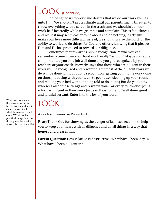## LOOK (Continued)

God designed us to work and desires that we do our work well as unto Him. We shouldn't procrastinate until our parents finally threaten to throw everything with a screen in the trash, and we shouldn't do our work half-heartedly while we grumble and complain. This is foolishness, and while it may seem easier to lie about and do nothing, it actually makes our lives more difficult. Instead, we should praise the Lord for the ability to work and do things for God and others, knowing that it pleases Him and He has promised to reward our diligence.

Sometimes that reward is public recognition. Maybe you can remember a time when your hard work really "paid off." Maybe someone complimented you on a job well done and you got recognized by your teachers or your coach. Proverbs says that those who are diligent in their work will be recognized and rewarded. But most of the diligent work we do will be done without public recognition (getting your homework done on time, practicing with your team to get better, cleaning up your room, and making your bed without being told to do it, etc.) But do you know who sees all of these things and rewards you? For every follower of Jesus who was diligent in their work Jesus will say to them, "Well done, good and faithful servant. Enter into the joy of your Lord!"

TOOK

As a class, memorize Proverbs 15:9.

**Pray:** Thank God for showing us the danger of laziness. Ask him to help you to keep your heart with all diligence and do all things in a way that honors and pleases him.

**Parent Question:** How is laziness destructive? What have I been lazy in? What have I been diligent in?

What is my response to this passage of Scripture? How should my life change according to what this passage teaches me? What are the practical things I can do throughout the week to make this true in my life?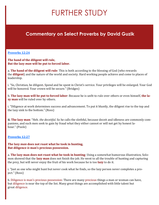## FURTHER STUDY

### **Commentary on Select Proverbs by David Guzik**

#### **[Proverbs 12:24](https://www.blueletterbible.org/kjv/proverbs/12/24/s_640024)**

**The hand of the diligent will rule, But the lazy** *man* **will be put to forced labor.**

a. **The hand of the diligent will rule**: This is both according to the blessing of God (who rewards the **diligent**) and the nature of the world and society. Hard working people achieve and come to places of leadership.

i. "So, Christian, be diligent**.** Spend and be spent in Christ's service. Your privileges will be enlarged. Your God will be honored. Your crown will be secure." (Bridges)

b. **The lazy man will be put to forced labor**: Because he is unfit to rule over others or even himself, **the lazy man** will be ruled over by others.

i. "Diligence at work determines success and advancement. To put it bluntly, the diligent rise to the top and the lazy sink to the bottom." (Ross)

**ii. The lazy man**: "Heb. *the deceitful*. So he calls the slothful, because deceit and idleness are commonly companions, and such men seek to gain by fraud what they either cannot or will not get by honest labour." (Poole)

#### **[Proverbs 12:27](https://www.blueletterbible.org/kjv/proverbs/12/27/s_640027)**

**The lazy** *man* **does not roast what he took in hunting, But diligence** *is* **man's precious possession.**

a. **The lazy man does not roast what he took in hunting**: Using a somewhat humorous illustration, Solomon showed that the **lazy man** does not finish the job. He went to all the trouble of hunting and capturing the prey, but will never enjoy the fruit of his work because he is too **lazy** to do it.

i. "Just as one who might hunt but never cook what he finds, so the lazy person never completes a project." (Ross)

b. Diligence is man's precious possession: There are many precious things a man or woman can have, but diligence is near the top of the list. Many great things are accomplished with little talent but great diligence.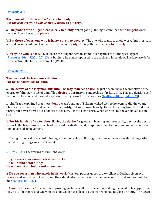#### **[Proverbs 21:5](https://www.blueletterbible.org/kjv/proverbs/21/5/s_649005)**

### **The plans of the diligent** *lead* **surely to plenty, But** *those of* **everyone** *who is* **hasty, surely to poverty.**

a. **The plans of the diligent lead surely to plenty**: When good planning is combined with **diligent** work there will be a harvest of **plenty**.

b. **But those of everyone who is hasty, surely to poverty**: The one who wants to avoid work, find shortcuts, and cut corners will find that failure instead of **plenty**. Their path leads **surely to poverty**.

i. **Everyone who is hasty**: "Elsewhere the diligent person stands over against the lethargic sluggard (**[Proverbs 10:4;](https://www.blueletterbible.org/kjv/proverbs/10/4/s_638004) [12:24,](https://www.blueletterbible.org/kjv/proverbs/12/24/s_640024) [27;](https://www.blueletterbible.org/kjv/proverbs/12/27/s_640027) [13:4](https://www.blueletterbible.org/kjv/proverbs/13/4/s_641004)**), but here he stands opposed to the rash and imprudent. The lazy are defective in action; the hasty, in thought." (Waltke)

#### **[Proverbs 21:25](https://www.blueletterbible.org/kjv/proverbs/21/25/s_649025)**

#### **The desire of the lazy** *man* **kills him, For his hands refuse to labor.**

a. **The desire of the lazy man kills him**: The **lazy man** has **desire**; he just doesn't have the initiative or the energy to fulfill it. His life of unfulfilled **desire** is unsatisfying and feels as if it **kills him**. This is a death to self, but not in the good and blessed way described by Jesus for His disciples ([Matthew 10:38,](https://www.blueletterbible.org/kjv/matthew/10/38/s_939038) [Luke 9:23\).](https://www.blueletterbible.org/kjv/luke/9/23/s_982023)

i. John Trapp explained that mere **desire** wasn't enough. "Balaam wished well to heaven; so did the young Pharisee in the gospel, that came to Christ hastily, but went away heavily. Herod for a long time desired to see Christ, but never stirred out of doors to see him. Pilate asked Christ, What is truth? but never stayed his answer."

b. **For his hands refuse to labor**: Having the **desire** for good and blessing and prosperity, but not the desire to work, the **lazy man** lives a life of constant frustration and disappointment. He does not know the satisfaction of earned achievement.

i. "Living in a world of wishful thinking and not working will bring ruin…the verse teaches that doing rather than desiring brings success." (Ross)

6. ([Pro 22:29\)](https://www.blueletterbible.org/kjv/proverbs/22/29/s_650029) The reward of excellent work.

**Do you see a man** *who* **excels in his work? He will stand before kings; He will not stand before unknown** *men***.**

a. **Do you see a man who excels in his work**: Wisdom pushes us toward excellence. God has given every **man** and woman **work** to do, and they should do that work with excellence as unto God and not only to men [\(Colossians 3:23\).](https://www.blueletterbible.org/kjv/colossians/3/23/s_1110023)

i. **A man who excels**: "One who is improving his talents all the time and is making the most of his opportunities. He is like Henry Martyn, who was known in his college 'as the man who had not lost an hour.'" (Bridges)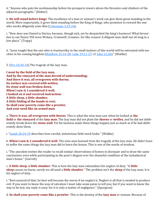ii. "Anyone who puts his workmanship before his prospects towers above the thrusters and climbers of the adjacent paragraphs." (Kidner)

b. **He will stand before kings**: The excellence of a man or woman's work can give them great standing in the world. More importantly, it gives them standing before the King of Kings, who promises to reward the one who works diligently unto Him [\(Colossians 3:23](https://www.blueletterbible.org/kjv/colossians/3/23-24/s_1110023)-24).

i. "How dear was Daniel to Darius, because, though sick, yet he despatched the king's business! What favourites to our Henry VIII were Wolsey, Cromwell, Cranmer, for like reason! A diligent man shall not sit long in a low place." (Trapp)

ii. "Jesus taught that the one who is trustworthy in the small matters of this world will be entrusted with ten cities in his coming kingdom [\(Matthew 25:14](https://www.blueletterbible.org/kjv/matthew/25/14-30/s_954014)-30; [Luke 19:11](https://www.blueletterbible.org/kjv/luke/19/11-27/s_992011)-27; cf. [John 12:26\)](https://www.blueletterbible.org/kjv/john/12/26/s_1009026)." (Waltke)

5.  $(Pro 24:30-34)$  $(Pro 24:30-34)$  $(Pro 24:30-34)$  The tragedy of the lazy man.

**I went by the field of the lazy** *man,* **And by the vineyard of the man devoid of understanding; And there it was, all overgrown with thorns; Its surface was covered with nettles; Its stone wall was broken down. When I saw** *it,* **I considered** *it* **well; I looked on** *it and* **received instruction: A little sleep, a little slumber, A little folding of the hands to rest; So shall your poverty come** *like* **a prowler, And your need like an armed man.**

a. **There it was, all overgrown with thorns**: This is what the wise man saw when he looked at **the field** or **the vineyard** of the **lazy man**. The lazy man did not plant the **thorns** or **nettles**, and he did not deliberately break down the **stone wall**. Yet his laziness made these things happen just as much as if he had deliberately done them.

i. "[Isaiah 28:24](https://www.blueletterbible.org/kjv/isaiah/28/24-29/s_707024)-29 describes how careful, industrious field-work looks." (Waltke)

b. **When I saw it, I considered it well**: The wise man learned from the tragedy of the lazy man. He didn't have to suffer the same things the lazy man did to learn the lesson. This is one of the marks of wisdom.

i. "The anecdote invites the reader to recall similar observations of homes in disrepair and to draw the same conclusions even while participating in the poet's disgust over the shameful condition of the lackadaisical man's home." (Garrett)

c. **A little sleep, a little slumber**: This is how the lazy man rationalizes his neglect of duty. "A **little sleep** causes no harm; surely we all need a **little slumber**." The problem isn't the **sleep** of the lazy man; it is his neglect of duty.

i. "Rest assured of that; be best will become the worse if we neglect it. Neglect is all that is needed to produce evil. If you want to know the way of salvation I must take some pains to tell you; but if you want to know the way to be lost, my reply is easy; for it is only a matter of negligence." (Spurgeon)

d. **So shall your poverty come like a prowler**: This is the destiny of the **lazy man** or woman. Because of